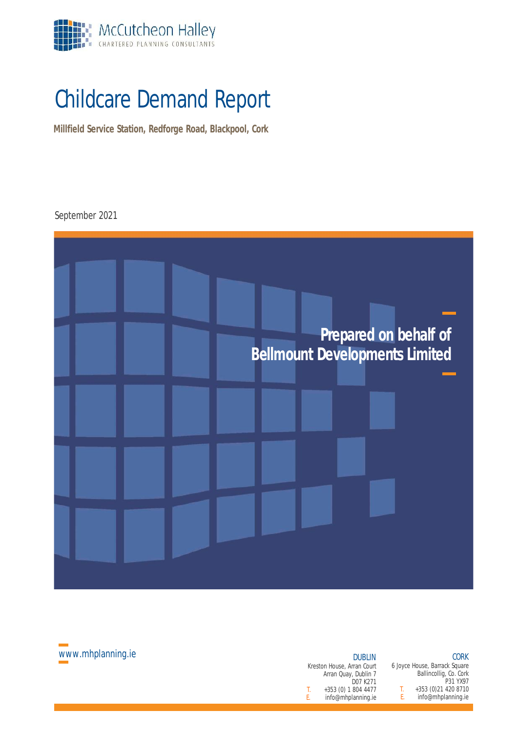

# Childcare Demand Report

**Millfield Service Station, Redforge Road, Blackpool, Cork**

September 2021





Kreston House, Arran Court Arran Quay, Dublin 7 D07 K271 T. +353 (0) 1 804 4477 T.<br>F. info@mhplanning.ie E. E. info@mhplanning.ie

#### CORK

Ballincollig, Co. Cork P31 YX97

+353 (0)21 420 8710 info@mhplanning.ie

6 Joyce House, Barrack Square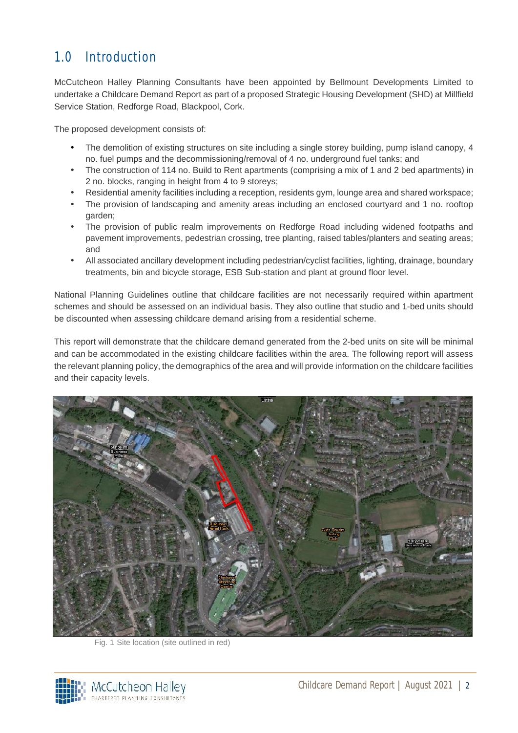## 1.0 Introduction

McCutcheon Halley Planning Consultants have been appointed by Bellmount Developments Limited to undertake a Childcare Demand Report as part of a proposed Strategic Housing Development (SHD) at Millfield Service Station, Redforge Road, Blackpool, Cork.

The proposed development consists of:

- The demolition of existing structures on site including a single storey building, pump island canopy, 4 no. fuel pumps and the decommissioning/removal of 4 no. underground fuel tanks; and
- The construction of 114 no. Build to Rent apartments (comprising a mix of 1 and 2 bed apartments) in 2 no. blocks, ranging in height from 4 to 9 storeys;
- Residential amenity facilities including a reception, residents gym, lounge area and shared workspace;
- The provision of landscaping and amenity areas including an enclosed courtyard and 1 no. rooftop garden;
- The provision of public realm improvements on Redforge Road including widened footpaths and pavement improvements, pedestrian crossing, tree planting, raised tables/planters and seating areas; and
- All associated ancillary development including pedestrian/cyclist facilities, lighting, drainage, boundary treatments, bin and bicycle storage, ESB Sub-station and plant at ground floor level.

National Planning Guidelines outline that childcare facilities are not necessarily required within apartment schemes and should be assessed on an individual basis. They also outline that studio and 1-bed units should be discounted when assessing childcare demand arising from a residential scheme.

This report will demonstrate that the childcare demand generated from the 2-bed units on site will be minimal and can be accommodated in the existing childcare facilities within the area. The following report will assess the relevant planning policy, the demographics of the area and will provide information on the childcare facilities and their capacity levels.



Fig. 1 Site location (site outlined in red)

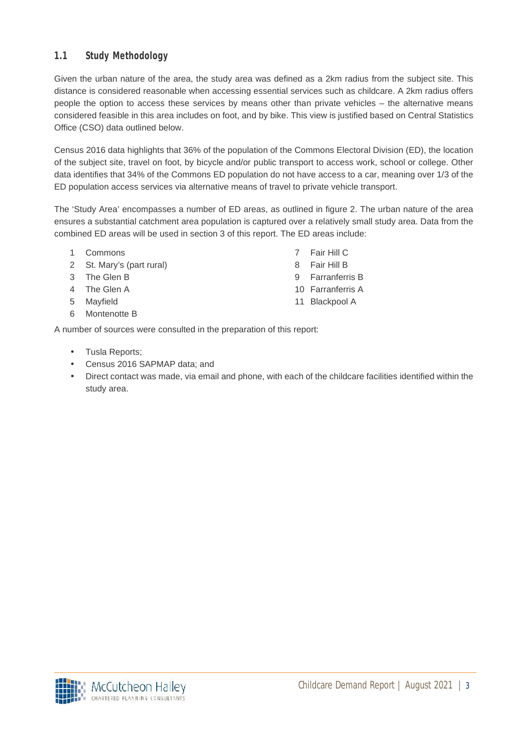### **1.1 Study Methodology**

Given the urban nature of the area, the study area was defined as a 2km radius from the subject site. This distance is considered reasonable when accessing essential services such as childcare. A 2km radius offers people the option to access these services by means other than private vehicles – the alternative means considered feasible in this area includes on foot, and by bike. This view is justified based on Central Statistics Office (CSO) data outlined below.

Census 2016 data highlights that 36% of the population of the Commons Electoral Division (ED), the location of the subject site, travel on foot, by bicycle and/or public transport to access work, school or college. Other data identifies that 34% of the Commons ED population do not have access to a car, meaning over 1/3 of the ED population access services via alternative means of travel to private vehicle transport.

The 'Study Area' encompasses a number of ED areas, as outlined in figure 2. The urban nature of the area ensures a substantial catchment area population is captured over a relatively small study area. Data from the combined ED areas will be used in section 3 of this report. The ED areas include:

- 1 Commons
- 2 St. Mary's (part rural)
- 3 The Glen B
- 4 The Glen A
- 5 Mayfield
- 6 Montenotte B

A number of sources were consulted in the preparation of this report:

- Tusla Reports;
- Census 2016 SAPMAP data; and
- Direct contact was made, via email and phone, with each of the childcare facilities identified within the study area.



- 7 Fair Hill C
- 8 Fair Hill B
- 9 Farranferris B
- 10 Farranferris A
- 11 Blackpool A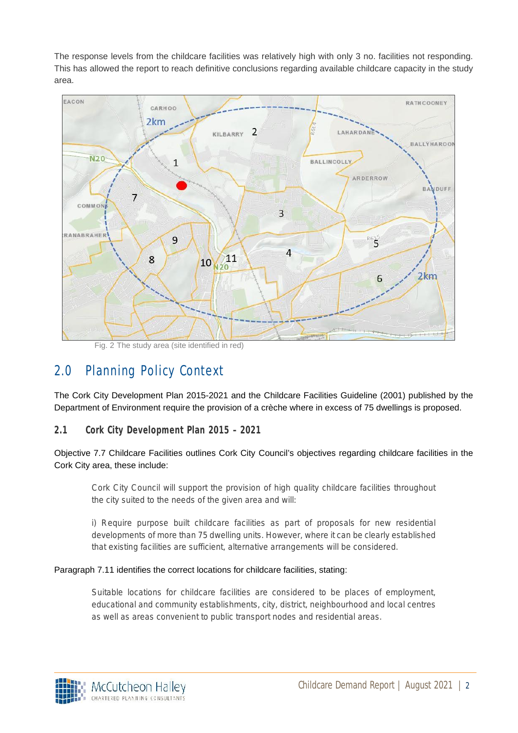The response levels from the childcare facilities was relatively high with only 3 no. facilities not responding. This has allowed the report to reach definitive conclusions regarding available childcare capacity in the study area.



Fig. 2 The study area (site identified in red)

## 2.0 Planning Policy Context

The Cork City Development Plan 2015-2021 and the Childcare Facilities Guideline (2001) published by the Department of Environment require the provision of a crèche where in excess of 75 dwellings is proposed.

**2.1 Cork City Development Plan 2015 – 2021**

Objective 7.7 Childcare Facilities outlines Cork City Council's objectives regarding childcare facilities in the Cork City area, these include:

*Cork City Council will support the provision of high quality childcare facilities throughout the city suited to the needs of the given area and will:*

*i) Require purpose built childcare facilities as part of proposals for new residential developments of more than 75 dwelling units. However, where it can be clearly established that existing facilities are sufficient, alternative arrangements will be considered.*

Paragraph 7.11 identifies the correct locations for childcare facilities, stating:

*Suitable locations for childcare facilities are considered to be places of employment, educational and community establishments, city, district, neighbourhood and local centres as well as areas convenient to public transport nodes and residential areas.*

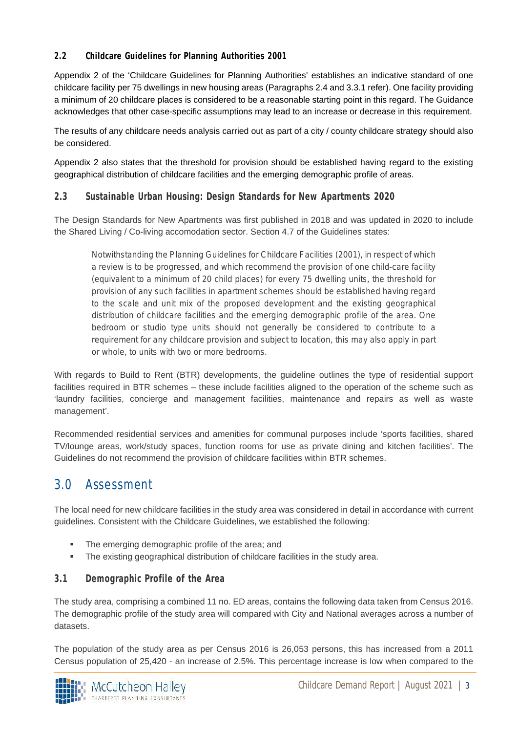#### **2.2 Childcare Guidelines for Planning Authorities 2001**

Appendix 2 of the 'Childcare Guidelines for Planning Authorities' establishes an indicative standard of one childcare facility per 75 dwellings in new housing areas (Paragraphs 2.4 and 3.3.1 refer). One facility providing a minimum of 20 childcare places is considered to be a reasonable starting point in this regard. The Guidance acknowledges that other case-specific assumptions may lead to an increase or decrease in this requirement.

The results of any childcare needs analysis carried out as part of a city / county childcare strategy should also be considered.

Appendix 2 also states that the threshold for provision should be established having regard to the existing geographical distribution of childcare facilities and the emerging demographic profile of areas.

#### **2.3 Sustainable Urban Housing: Design Standards for New Apartments 2020**

The Design Standards for New Apartments was first published in 2018 and was updated in 2020 to include the Shared Living / Co-living accomodation sector. Section 4.7 of the Guidelines states:

*Notwithstanding the Planning Guidelines for Childcare Facilities (2001), in respect of which a review is to be progressed, and which recommend the provision of one child-care facility (equivalent to a minimum of 20 child places) for every 75 dwelling units, the threshold for provision of any such facilities in apartment schemes should be established having regard to the scale and unit mix of the proposed development and the existing geographical distribution of childcare facilities and the emerging demographic profile of the area. One bedroom or studio type units should not generally be considered to contribute to a requirement for any childcare provision and subject to location, this may also apply in part or whole, to units with two or more bedrooms.*

With regards to Build to Rent (BTR) developments, the guideline outlines the type of residential support facilities required in BTR schemes – these include facilities aligned to the operation of the scheme such as 'laundry facilities, concierge and management facilities, maintenance and repairs as well as waste management'.

Recommended residential services and amenities for communal purposes include 'sports facilities, shared TV/lounge areas, work/study spaces, function rooms for use as private dining and kitchen facilities'. The Guidelines do not recommend the provision of childcare facilities within BTR schemes.

## 3.0 Assessment

The local need for new childcare facilities in the study area was considered in detail in accordance with current guidelines. Consistent with the Childcare Guidelines, we established the following:

- The emerging demographic profile of the area; and
- The existing geographical distribution of childcare facilities in the study area.

#### **3.1 Demographic Profile of the Area**

The study area, comprising a combined 11 no. ED areas, contains the following data taken from Census 2016. The demographic profile of the study area will compared with City and National averages across a number of datasets.

The population of the study area as per Census 2016 is 26,053 persons, this has increased from a 2011 Census population of 25,420 - an increase of 2.5%. This percentage increase is low when compared to the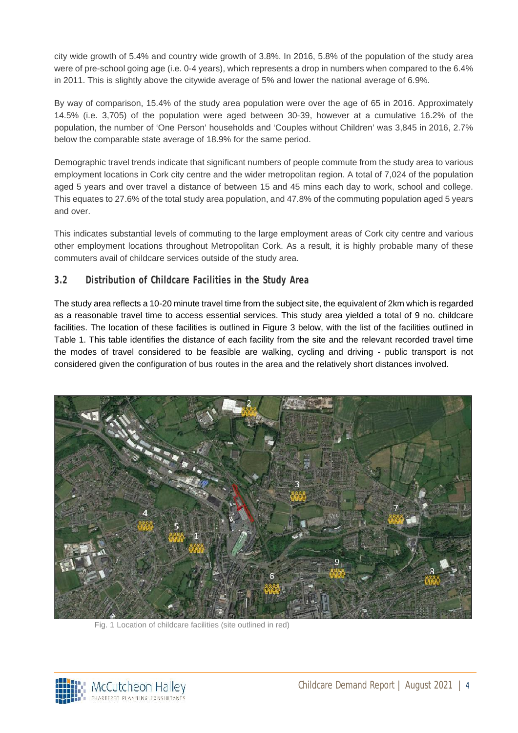city wide growth of 5.4% and country wide growth of 3.8%. In 2016, 5.8% of the population of the study area were of pre-school going age (i.e. 0-4 years), which represents a drop in numbers when compared to the 6.4% in 2011. This is slightly above the citywide average of 5% and lower the national average of 6.9%.

By way of comparison, 15.4% of the study area population were over the age of 65 in 2016. Approximately 14.5% (i.e. 3,705) of the population were aged between 30-39, however at a cumulative 16.2% of the population, the number of 'One Person' households and 'Couples without Children' was 3,845 in 2016, 2.7% below the comparable state average of 18.9% for the same period.

Demographic travel trends indicate that significant numbers of people commute from the study area to various employment locations in Cork city centre and the wider metropolitan region. A total of 7,024 of the population aged 5 years and over travel a distance of between 15 and 45 mins each day to work, school and college. This equates to 27.6% of the total study area population, and 47.8% of the commuting population aged 5 years and over.

This indicates substantial levels of commuting to the large employment areas of Cork city centre and various other employment locations throughout Metropolitan Cork. As a result, it is highly probable many of these commuters avail of childcare services outside of the study area.

#### **3.2 Distribution of Childcare Facilities in the Study Area**

The study area reflects a 10-20 minute travel time from the subject site, the equivalent of 2km which is regarded as a reasonable travel time to access essential services. This study area yielded a total of 9 no. childcare facilities. The location of these facilities is outlined in Figure 3 below, with the list of the facilities outlined in Table 1. This table identifies the distance of each facility from the site and the relevant recorded travel time the modes of travel considered to be feasible are walking, cycling and driving - public transport is not considered given the configuration of bus routes in the area and the relatively short distances involved.



Fig. 1 Location of childcare facilities (site outlined in red)

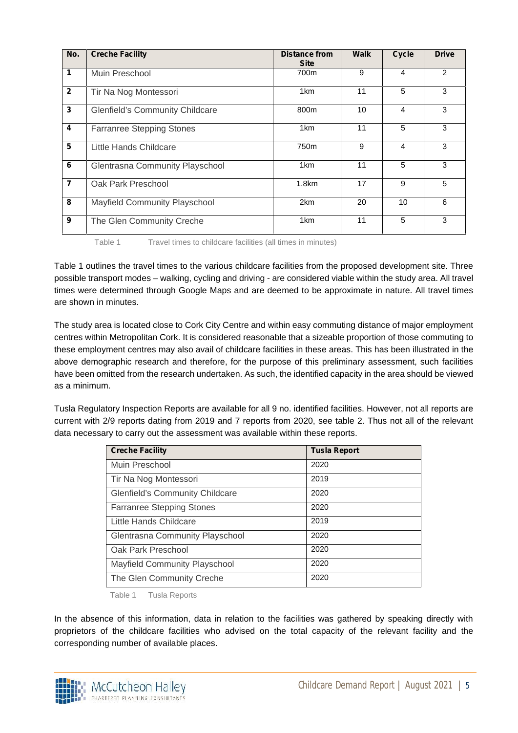| No.            | <b>Creche Facility</b>                 | <b>Distance from</b><br><b>Site</b> | <b>Walk</b> | <b>Cycle</b> | <b>Drive</b>   |
|----------------|----------------------------------------|-------------------------------------|-------------|--------------|----------------|
| 1              | Muin Preschool                         | 700m                                | 9           | 4            | $\overline{2}$ |
| $\overline{2}$ | Tir Na Nog Montessori                  | 1 <sub>km</sub>                     | 11          | 5            | 3              |
| 3              | <b>Glenfield's Community Childcare</b> | 800m                                | 10          | 4            | 3              |
| 4              | <b>Farranree Stepping Stones</b>       | 1 <sub>km</sub>                     | 11          | 5            | 3              |
| 5              | Little Hands Childcare                 | 750 <sub>m</sub>                    | 9           | 4            | 3              |
| 6              | Glentrasna Community Playschool        | 1 <sub>km</sub>                     | 11          | 5            | 3              |
| $\overline{7}$ | Oak Park Preschool                     | 1.8km                               | 17          | 9            | 5              |
| 8              | <b>Mayfield Community Playschool</b>   | 2km                                 | 20          | 10           | 6              |
| 9              | The Glen Community Creche              | 1 <sub>km</sub>                     | 11          | 5            | 3              |

Table 1 Travel times to childcare facilities (all times in minutes)

Table 1 outlines the travel times to the various childcare facilities from the proposed development site. Three possible transport modes – walking, cycling and driving - are considered viable within the study area. All travel times were determined through Google Maps and are deemed to be approximate in nature. All travel times are shown in minutes.

The study area is located close to Cork City Centre and within easy commuting distance of major employment centres within Metropolitan Cork. It is considered reasonable that a sizeable proportion of those commuting to these employment centres may also avail of childcare facilities in these areas. This has been illustrated in the above demographic research and therefore, for the purpose of this preliminary assessment, such facilities have been omitted from the research undertaken. As such, the identified capacity in the area should be viewed as a minimum.

Tusla Regulatory Inspection Reports are available for all 9 no. identified facilities. However, not all reports are current with 2/9 reports dating from 2019 and 7 reports from 2020, see table 2. Thus not all of the relevant data necessary to carry out the assessment was available within these reports.

| <b>Creche Facility</b>                 | <b>Tusla Report</b> |
|----------------------------------------|---------------------|
| Muin Preschool                         | 2020                |
| Tir Na Nog Montessori                  | 2019                |
| <b>Glenfield's Community Childcare</b> | 2020                |
| <b>Farranree Stepping Stones</b>       | 2020                |
| Little Hands Childcare                 | 2019                |
| Glentrasna Community Playschool        | 2020                |
| Oak Park Preschool                     | 2020                |
| Mayfield Community Playschool          | 2020                |
| The Glen Community Creche              | 2020                |

Table 1 Tusla Reports

In the absence of this information, data in relation to the facilities was gathered by speaking directly with proprietors of the childcare facilities who advised on the total capacity of the relevant facility and the corresponding number of available places.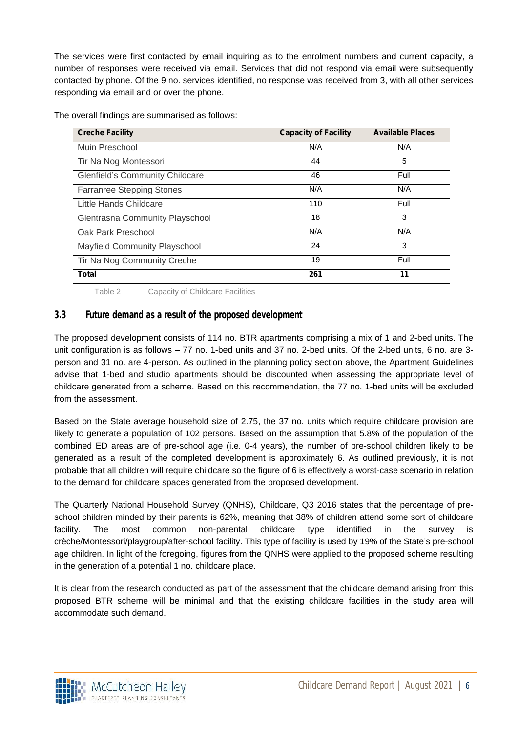The services were first contacted by email inquiring as to the enrolment numbers and current capacity, a number of responses were received via email. Services that did not respond via email were subsequently contacted by phone. Of the 9 no. services identified, no response was received from 3, with all other services responding via email and or over the phone.

The overall findings are summarised as follows:

| <b>Creche Facility</b>                 | <b>Capacity of Facility</b> | <b>Available Places</b> |
|----------------------------------------|-----------------------------|-------------------------|
| Muin Preschool                         | N/A                         | N/A                     |
| Tir Na Nog Montessori                  | 44                          | 5                       |
| <b>Glenfield's Community Childcare</b> | 46                          | Full                    |
| Farranree Stepping Stones              | N/A                         | N/A                     |
| Little Hands Childcare                 | 110                         | Full                    |
| Glentrasna Community Playschool        | 18                          | 3                       |
| Oak Park Preschool                     | N/A                         | N/A                     |
| Mayfield Community Playschool          | 24                          | 3                       |
| Tir Na Nog Community Creche            | 19                          | Full                    |
| <b>Total</b>                           | 261                         | 11                      |

Table 2 Capacity of Childcare Facilities

#### **3.3 Future demand as a result of the proposed development**

The proposed development consists of 114 no. BTR apartments comprising a mix of 1 and 2-bed units. The unit configuration is as follows – 77 no. 1-bed units and 37 no. 2-bed units. Of the 2-bed units, 6 no. are 3 person and 31 no. are 4-person. As outlined in the planning policy section above, the Apartment Guidelines advise that 1-bed and studio apartments should be discounted when assessing the appropriate level of childcare generated from a scheme. Based on this recommendation, the 77 no. 1-bed units will be excluded from the assessment.

Based on the State average household size of 2.75, the 37 no. units which require childcare provision are likely to generate a population of 102 persons. Based on the assumption that 5.8% of the population of the combined ED areas are of pre-school age (i.e. 0-4 years), the number of pre-school children likely to be generated as a result of the completed development is approximately 6. As outlined previously, it is not probable that all children will require childcare so the figure of 6 is effectively a worst-case scenario in relation to the demand for childcare spaces generated from the proposed development.

The Quarterly National Household Survey (QNHS), Childcare, Q3 2016 states that the percentage of pre school children minded by their parents is 62%, meaning that 38% of children attend some sort of childcare facility. The most common non-parental childcare type identified in the survey is crèche/Montessori/playgroup/after-school facility. This type of facility is used by 19% of the State's pre-school age children. In light of the foregoing, figures from the QNHS were applied to the proposed scheme resulting in the generation of a potential 1 no. childcare place.

It is clear from the research conducted as part of the assessment that the childcare demand arising from this proposed BTR scheme will be minimal and that the existing childcare facilities in the study area will accommodate such demand.